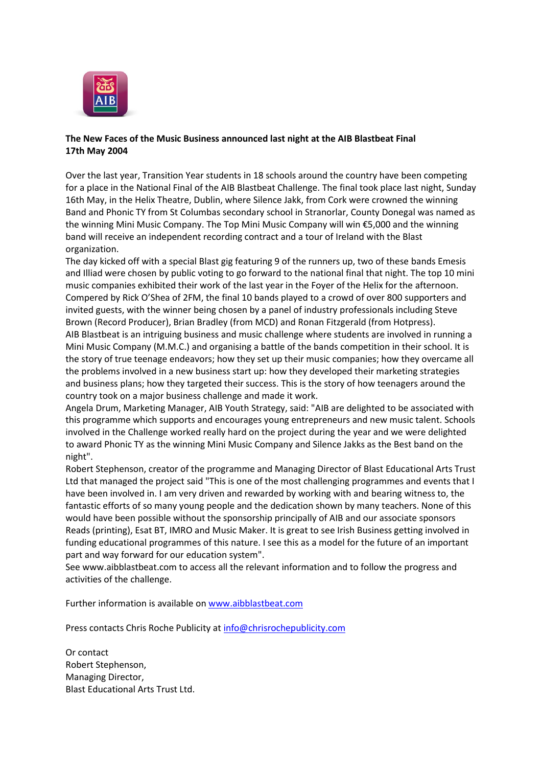

## **The New Faces of the Music Business announced last night at the AIB Blastbeat Final 17th May 2004**

Over the last year, Transition Year students in 18 schools around the country have been competing for a place in the National Final of the AIB Blastbeat Challenge. The final took place last night, Sunday 16th May, in the Helix Theatre, Dublin, where Silence Jakk, from Cork were crowned the winning Band and Phonic TY from St Columbas secondary school in Stranorlar, County Donegal was named as the winning Mini Music Company. The Top Mini Music Company will win €5,000 and the winning band will receive an independent recording contract and a tour of Ireland with the Blast organization.

The day kicked off with a special Blast gig featuring 9 of the runners up, two of these bands Emesis and Illiad were chosen by public voting to go forward to the national final that night. The top 10 mini music companies exhibited their work of the last year in the Foyer of the Helix for the afternoon. Compered by Rick O'Shea of 2FM, the final 10 bands played to a crowd of over 800 supporters and invited guests, with the winner being chosen by a panel of industry professionals including Steve Brown (Record Producer), Brian Bradley (from MCD) and Ronan Fitzgerald (from Hotpress). AIB Blastbeat is an intriguing business and music challenge where students are involved in running a Mini Music Company (M.M.C.) and organising a battle of the bands competition in their school. It is the story of true teenage endeavors; how they set up their music companies; how they overcame all the problems involved in a new business start up: how they developed their marketing strategies and business plans; how they targeted their success. This is the story of how teenagers around the country took on a major business challenge and made it work.

Angela Drum, Marketing Manager, AIB Youth Strategy, said: "AIB are delighted to be associated with this programme which supports and encourages young entrepreneurs and new music talent. Schools involved in the Challenge worked really hard on the project during the year and we were delighted to award Phonic TY as the winning Mini Music Company and Silence Jakks as the Best band on the night".

Robert Stephenson, creator of the programme and Managing Director of Blast Educational Arts Trust Ltd that managed the project said "This is one of the most challenging programmes and events that I have been involved in. I am very driven and rewarded by working with and bearing witness to, the fantastic efforts of so many young people and the dedication shown by many teachers. None of this would have been possible without the sponsorship principally of AIB and our associate sponsors Reads (printing), Esat BT, IMRO and Music Maker. It is great to see Irish Business getting involved in funding educational programmes of this nature. I see this as a model for the future of an important part and way forward for our education system".

See www.aibblastbeat.com to access all the relevant information and to follow the progress and activities of the challenge.

Further information is available on [www.aibblastbeat.com](http://www.aibblastbeat.com/)

Press contacts Chris Roche Publicity at [info@chrisrochepublicity.com](mailto:info@chrisrochepublicity.com)

Or contact Robert Stephenson, Managing Director, Blast Educational Arts Trust Ltd.